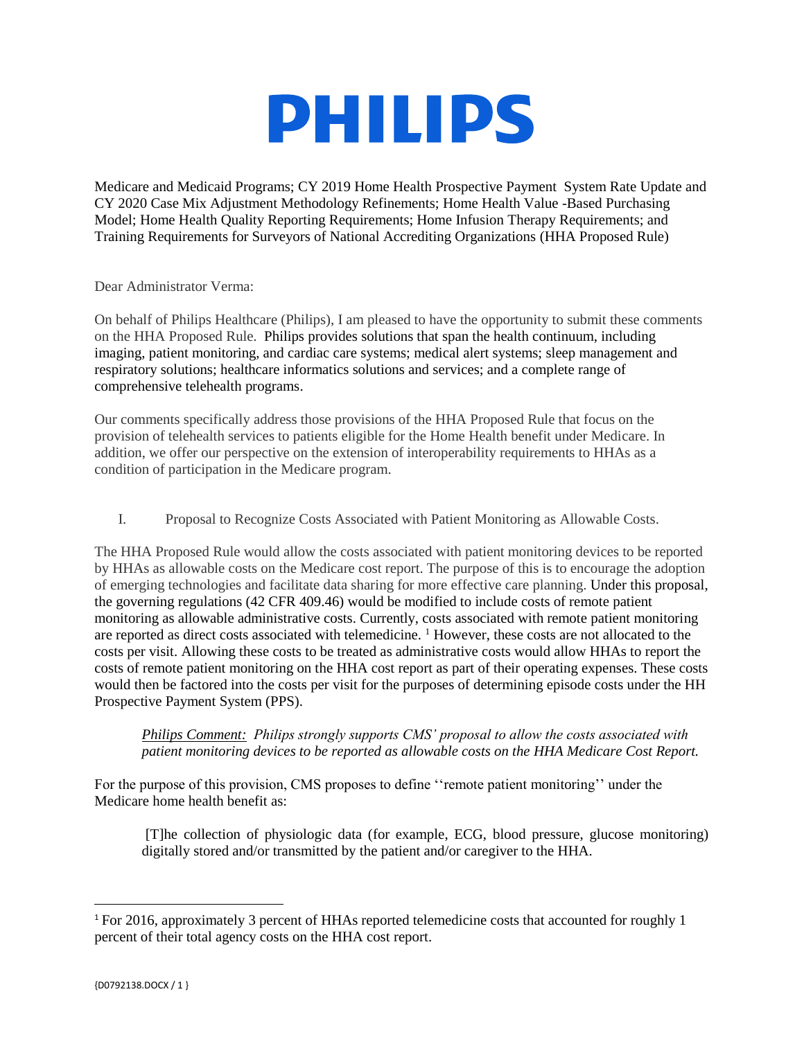

Medicare and Medicaid Programs; CY 2019 Home Health Prospective Payment System Rate Update and CY 2020 Case Mix Adjustment Methodology Refinements; Home Health Value -Based Purchasing Model; Home Health Quality Reporting Requirements; Home Infusion Therapy Requirements; and Training Requirements for Surveyors of National Accrediting Organizations (HHA Proposed Rule)

Dear Administrator Verma:

On behalf of Philips Healthcare (Philips), I am pleased to have the opportunity to submit these comments on the HHA Proposed Rule. Philips provides solutions that span the health continuum, including imaging, patient monitoring, and cardiac care systems; medical alert systems; sleep management and respiratory solutions; healthcare informatics solutions and services; and a complete range of comprehensive telehealth programs.

Our comments specifically address those provisions of the HHA Proposed Rule that focus on the provision of telehealth services to patients eligible for the Home Health benefit under Medicare. In addition, we offer our perspective on the extension of interoperability requirements to HHAs as a condition of participation in the Medicare program.

I. Proposal to Recognize Costs Associated with Patient Monitoring as Allowable Costs.

The HHA Proposed Rule would allow the costs associated with patient monitoring devices to be reported by HHAs as allowable costs on the Medicare cost report. The purpose of this is to encourage the adoption of emerging technologies and facilitate data sharing for more effective care planning. Under this proposal, the governing regulations (42 CFR 409.46) would be modified to include costs of remote patient monitoring as allowable administrative costs. Currently, costs associated with remote patient monitoring are reported as direct costs associated with telemedicine. <sup>1</sup> However, these costs are not allocated to the costs per visit. Allowing these costs to be treated as administrative costs would allow HHAs to report the costs of remote patient monitoring on the HHA cost report as part of their operating expenses. These costs would then be factored into the costs per visit for the purposes of determining episode costs under the HH Prospective Payment System (PPS).

## *Philips Comment: Philips strongly supports CMS' proposal to allow the costs associated with patient monitoring devices to be reported as allowable costs on the HHA Medicare Cost Report.*

For the purpose of this provision, CMS proposes to define ''remote patient monitoring'' under the Medicare home health benefit as:

[T]he collection of physiologic data (for example, ECG, blood pressure, glucose monitoring) digitally stored and/or transmitted by the patient and/or caregiver to the HHA.

 $\overline{\phantom{a}}$ 

<sup>1</sup> For 2016, approximately 3 percent of HHAs reported telemedicine costs that accounted for roughly 1 percent of their total agency costs on the HHA cost report.